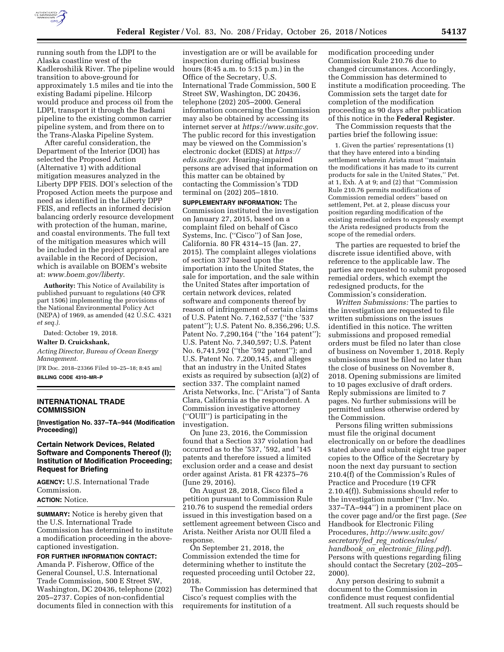

running south from the LDPI to the Alaska coastline west of the Kadleroshilik River. The pipeline would transition to above-ground for approximately 1.5 miles and tie into the existing Badami pipeline. Hilcorp would produce and process oil from the LDPI, transport it through the Badami pipeline to the existing common carrier pipeline system, and from there on to the Trans-Alaska Pipeline System.

After careful consideration, the Department of the Interior (DOI) has selected the Proposed Action (Alternative 1) with additional mitigation measures analyzed in the Liberty DPP FEIS. DOI's selection of the Proposed Action meets the purpose and need as identified in the Liberty DPP FEIS, and reflects an informed decision balancing orderly resource development with protection of the human, marine, and coastal environments. The full text of the mitigation measures which will be included in the project approval are available in the Record of Decision, which is available on BOEM's website at: *[www.boem.gov/liberty](http://www.boem.gov/liberty)*.

**Authority:** This Notice of Availability is published pursuant to regulations (40 CFR part 1506) implementing the provisions of the National Environmental Policy Act (NEPA) of 1969, as amended (42 U.S.C. 4321 *et seq.).* 

Dated: October 19, 2018.

### **Walter D. Cruickshank,**

*Acting Director, Bureau of Ocean Energy Management.* 

[FR Doc. 2018–23366 Filed 10–25–18; 8:45 am] **BILLING CODE 4310–MR–P** 

## **INTERNATIONAL TRADE COMMISSION**

**[Investigation No. 337–TA–944 (Modification Proceeding)]** 

#### **Certain Network Devices, Related Software and Components Thereof (I); Institution of Modification Proceeding; Request for Briefing**

**AGENCY:** U.S. International Trade Commission.

# **ACTION:** Notice.

**SUMMARY:** Notice is hereby given that the U.S. International Trade Commission has determined to institute a modification proceeding in the abovecaptioned investigation.

**FOR FURTHER INFORMATION CONTACT:**  Amanda P. Fisherow, Office of the General Counsel, U.S. International Trade Commission, 500 E Street SW, Washington, DC 20436, telephone (202) 205–2737. Copies of non-confidential documents filed in connection with this

investigation are or will be available for inspection during official business hours (8:45 a.m. to 5:15 p.m.) in the Office of the Secretary, U.S. International Trade Commission, 500 E Street SW, Washington, DC 20436, telephone (202) 205–2000. General information concerning the Commission may also be obtained by accessing its internet server at *[https://www.usitc.gov.](https://www.usitc.gov)*  The public record for this investigation may be viewed on the Commission's electronic docket (EDIS) at *[https://](https://edis.usitc.gov) [edis.usitc.gov.](https://edis.usitc.gov)* Hearing-impaired persons are advised that information on this matter can be obtained by contacting the Commission's TDD terminal on (202) 205–1810.

**SUPPLEMENTARY INFORMATION:** The Commission instituted the investigation on January 27, 2015, based on a complaint filed on behalf of Cisco Systems, Inc. (''Cisco'') of San Jose, California. 80 FR 4314–15 (Jan. 27, 2015). The complaint alleges violations of section 337 based upon the importation into the United States, the sale for importation, and the sale within the United States after importation of certain network devices, related software and components thereof by reason of infringement of certain claims of U.S. Patent No. 7,162,537 (''the '537 patent''); U.S. Patent No. 8,356,296; U.S. Patent No. 7,290,164 ("the '164 patent"); U.S. Patent No. 7,340,597; U.S. Patent No. 6,741,592 (''the '592 patent''); and U.S. Patent No. 7,200,145, and alleges that an industry in the United States exists as required by subsection (a)(2) of section 337. The complaint named Arista Networks, Inc. (''Arista'') of Santa Clara, California as the respondent. A Commission investigative attorney (''OUII'') is participating in the investigation.

On June 23, 2016, the Commission found that a Section 337 violation had occurred as to the '537, '592, and '145 patents and therefore issued a limited exclusion order and a cease and desist order against Arista. 81 FR 42375–76 (June 29, 2016).

On August 28, 2018, Cisco filed a petition pursuant to Commission Rule 210.76 to suspend the remedial orders issued in this investigation based on a settlement agreement between Cisco and Arista. Neither Arista nor OUII filed a response.

On September 21, 2018, the Commission extended the time for determining whether to institute the requested proceeding until October 22, 2018.

The Commission has determined that Cisco's request complies with the requirements for institution of a

modification proceeding under Commission Rule 210.76 due to changed circumstances. Accordingly, the Commission has determined to institute a modification proceeding. The Commission sets the target date for completion of the modification proceeding as 90 days after publication of this notice in the **Federal Register**.

The Commission requests that the parties brief the following issue:

1. Given the parties' representations (1) that they have entered into a binding settlement wherein Arista must ''maintain the modifications it has made to its current products for sale in the United States,'' Pet. at 1, Exh. A at 9; and (2) that ''Commission Rule 210.76 permits modifications of Commission remedial orders'' based on settlement, Pet. at 2, please discuss your position regarding modification of the existing remedial orders to expressly exempt the Arista redesigned products from the scope of the remedial orders.

The parties are requested to brief the discrete issue identified above, with reference to the applicable law. The parties are requested to submit proposed remedial orders, which exempt the redesigned products, for the Commission's consideration.

*Written Submissions:* The parties to the investigation are requested to file written submissions on the issues identified in this notice. The written submissions and proposed remedial orders must be filed no later than close of business on November 1, 2018. Reply submissions must be filed no later than the close of business on November 8, 2018. Opening submissions are limited to 10 pages exclusive of draft orders. Reply submissions are limited to 7 pages. No further submissions will be permitted unless otherwise ordered by the Commission.

Persons filing written submissions must file the original document electronically on or before the deadlines stated above and submit eight true paper copies to the Office of the Secretary by noon the next day pursuant to section 210.4(f) of the Commission's Rules of Practice and Procedure (19 CFR 2.10.4(f)). Submissions should refer to the investigation number (''Inv. No. 337–TA–944'') in a prominent place on the cover page and/or the first page. (*See*  Handbook for Electronic Filing Procedures, *[http://www.usitc.gov/](http://www.usitc.gov/secretary/fed_reg_notices/rules/handbook_on_electronic_filing.pdf) secretary/fed*\_*reg*\_*[notices/rules/](http://www.usitc.gov/secretary/fed_reg_notices/rules/handbook_on_electronic_filing.pdf)  [handbook](http://www.usitc.gov/secretary/fed_reg_notices/rules/handbook_on_electronic_filing.pdf)*\_*on*\_*electronic*\_*filing.pdf*). Persons with questions regarding filing should contact the Secretary (202–205– 2000).

Any person desiring to submit a document to the Commission in confidence must request confidential treatment. All such requests should be